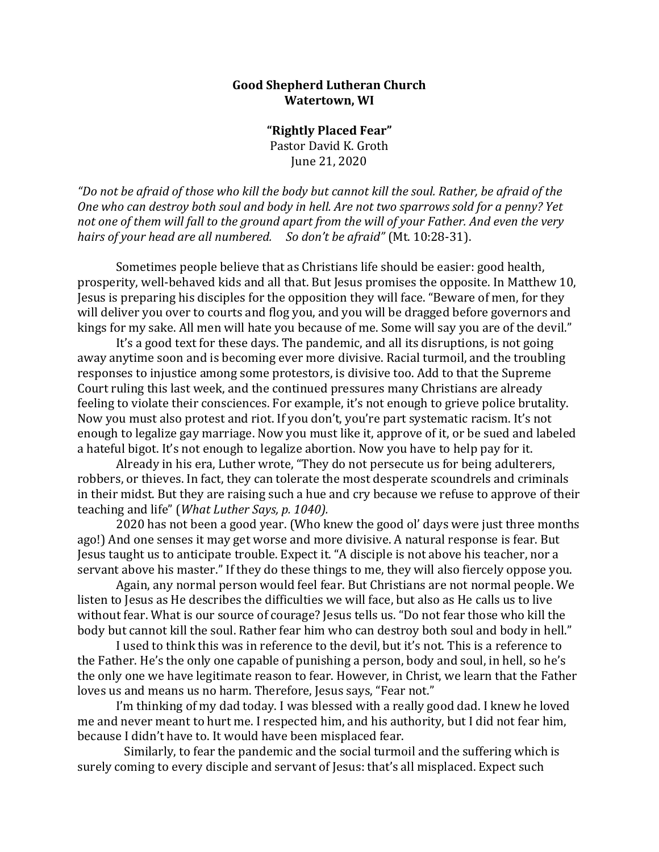## **Good Shepherd Lutheran Church Watertown, WI**

**"Rightly Placed Fear"** Pastor David K. Groth June 21, 2020

*"Do not be afraid of those who kill the body but cannot kill the soul. Rather, be afraid of the One who can destroy both soul and body in hell. Are not two sparrows sold for a penny? Yet not one of them will fall to the ground apart from the will of your Father. And even the very hairs of your head are all numbered. So don't be afraid"* (Mt. 10:28-31).

Sometimes people believe that as Christians life should be easier: good health, prosperity, well-behaved kids and all that. But Jesus promises the opposite. In Matthew 10, Jesus is preparing his disciples for the opposition they will face. "Beware of men, for they will deliver you over to courts and flog you, and you will be dragged before governors and kings for my sake. All men will hate you because of me. Some will say you are of the devil."

It's a good text for these days. The pandemic, and all its disruptions, is not going away anytime soon and is becoming ever more divisive. Racial turmoil, and the troubling responses to injustice among some protestors, is divisive too. Add to that the Supreme Court ruling this last week, and the continued pressures many Christians are already feeling to violate their consciences. For example, it's not enough to grieve police brutality. Now you must also protest and riot. If you don't, you're part systematic racism. It's not enough to legalize gay marriage. Now you must like it, approve of it, or be sued and labeled a hateful bigot. It's not enough to legalize abortion. Now you have to help pay for it.

Already in his era, Luther wrote, "They do not persecute us for being adulterers, robbers, or thieves. In fact, they can tolerate the most desperate scoundrels and criminals in their midst. But they are raising such a hue and cry because we refuse to approve of their teaching and life" (*What Luther Says, p. 1040).* 

2020 has not been a good year. (Who knew the good ol' days were just three months ago!) And one senses it may get worse and more divisive. A natural response is fear. But Jesus taught us to anticipate trouble. Expect it. "A disciple is not above his teacher, nor a servant above his master." If they do these things to me, they will also fiercely oppose you.

Again, any normal person would feel fear. But Christians are not normal people. We listen to Jesus as He describes the difficulties we will face, but also as He calls us to live without fear. What is our source of courage? Jesus tells us. "Do not fear those who kill the body but cannot kill the soul. Rather fear him who can destroy both soul and body in hell."

I used to think this was in reference to the devil, but it's not. This is a reference to the Father. He's the only one capable of punishing a person, body and soul, in hell, so he's the only one we have legitimate reason to fear. However, in Christ, we learn that the Father loves us and means us no harm. Therefore, Jesus says, "Fear not."

I'm thinking of my dad today. I was blessed with a really good dad. I knew he loved me and never meant to hurt me. I respected him, and his authority, but I did not fear him, because I didn't have to. It would have been misplaced fear.

Similarly, to fear the pandemic and the social turmoil and the suffering which is surely coming to every disciple and servant of Jesus: that's all misplaced. Expect such